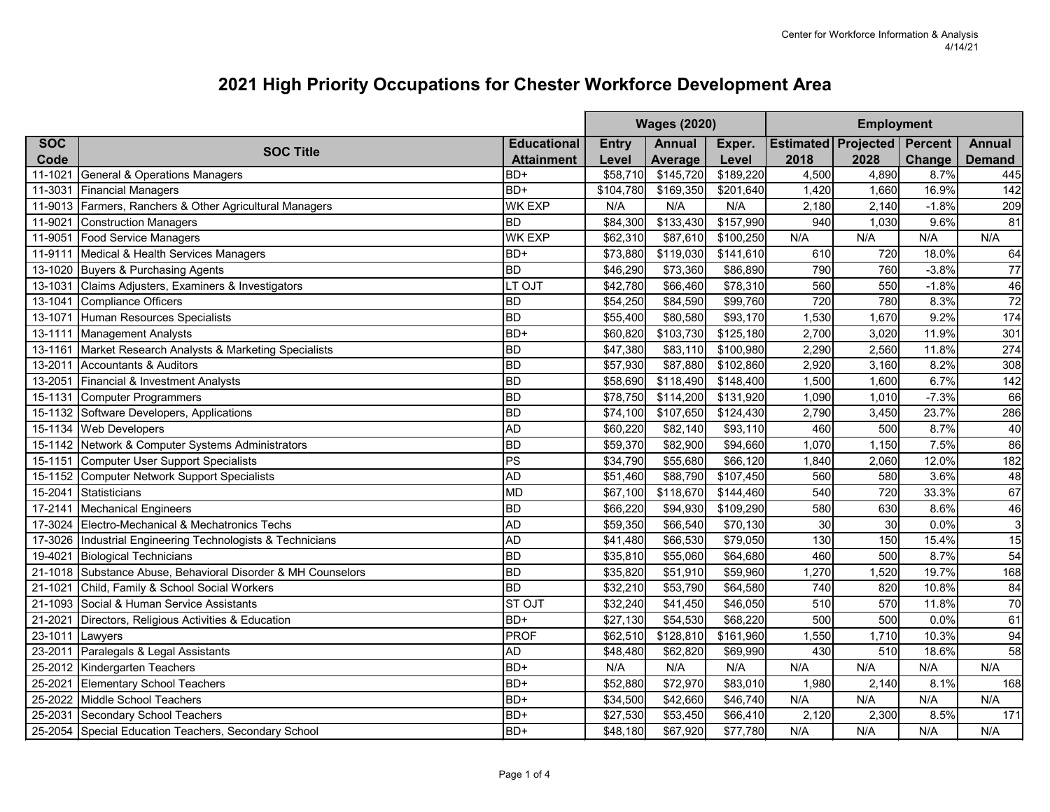|             |                                                              |                          | <b>Wages (2020)</b>  |               |           | <b>Employment</b> |                            |                |                 |
|-------------|--------------------------------------------------------------|--------------------------|----------------------|---------------|-----------|-------------------|----------------------------|----------------|-----------------|
| <b>SOC</b>  |                                                              | <b>Educational</b>       | <b>Entry</b>         | <b>Annual</b> | Exper.    |                   | <b>Estimated Projected</b> | <b>Percent</b> | <b>Annual</b>   |
| Code        | <b>SOC Title</b>                                             | <b>Attainment</b>        | Level                | Average       | Level     | 2018              | 2028                       | Change         | <b>Demand</b>   |
| 11-1021     | General & Operations Managers                                | B <sub>D+</sub>          | \$58,710             | \$145,720     | \$189,220 | 4,500             | 4,890                      | 8.7%           | 445             |
| 11-3031     | <b>Financial Managers</b>                                    | BD+                      | \$104,780            | \$169,350     | \$201,640 | 1,420             | 1,660                      | 16.9%          | 142             |
| 11-9013     | Farmers, Ranchers & Other Agricultural Managers              | <b>WK EXP</b>            | N/A                  | N/A           | N/A       | 2,180             | 2,140                      | $-1.8%$        | 209             |
| 11-9021     | <b>Construction Managers</b>                                 | <b>BD</b>                | \$84,300             | \$133,430     | \$157,990 | 940               | 1,030                      | 9.6%           | 81              |
|             | 11-9051 Food Service Managers                                | <b>WK EXP</b>            | \$62,310             | \$87,610      | \$100,250 | N/A               | N/A                        | N/A            | N/A             |
|             | 11-9111 Medical & Health Services Managers                   | BD+                      | \$73,880             | \$119,030     | \$141,610 | 610               | 720                        | 18.0%          | 64              |
|             | 13-1020 Buyers & Purchasing Agents                           | <b>BD</b>                | \$46,290             | \$73,360      | \$86,890  | 790               | 760                        | $-3.8%$        | 77              |
| 13-1031     | Claims Adjusters, Examiners & Investigators                  | LT OJT                   | \$42,780             | \$66,460      | \$78,310  | 560               | 550                        | $-1.8%$        | 46              |
| $13 - 1041$ | <b>Compliance Officers</b>                                   | <b>BD</b>                | \$54,250             | \$84,590      | \$99,760  | 720               | 780                        | 8.3%           | $\overline{72}$ |
| 13-1071     | Human Resources Specialists                                  | <b>BD</b>                | \$55,400             | \$80,580      | \$93,170  | 1,530             | 1,670                      | 9.2%           | 174             |
|             | 13-1111 Management Analysts                                  | BD+                      | \$60,820             | \$103,730     | \$125,180 | 2,700             | 3,020                      | 11.9%          | 301             |
| 13-1161     | Market Research Analysts & Marketing Specialists             | <b>BD</b>                | \$47,380             | \$83,110      | \$100,980 | 2,290             | 2,560                      | 11.8%          | 274             |
| 13-2011     | Accountants & Auditors                                       | <b>BD</b>                | \$57,930             | \$87,880      | \$102,860 | 2,920             | 3,160                      | 8.2%           | 308             |
| 13-2051     | Financial & Investment Analysts                              | BD                       | \$58,690             | \$118,490     | \$148,400 | 1,500             | 1,600                      | 6.7%           | 142             |
|             | 15-1131 Computer Programmers                                 | BD                       | \$78,750             | \$114,200     | \$131,920 | 1,090             | 1,010                      | $-7.3%$        | 66              |
|             | 15-1132 Software Developers, Applications                    | BD                       | \$74,100             | \$107,650     | \$124,430 | 2,790             | 3,450                      | 23.7%          | 286             |
|             | 15-1134 Web Developers                                       | <b>AD</b>                | \$60,220             | \$82,140      | \$93,110  | 460               | 500                        | 8.7%           | 40              |
|             | 15-1142 Network & Computer Systems Administrators            | <b>BD</b>                | \$59,370             | \$82,900      | \$94,660  | 1,070             | 1,150                      | 7.5%           | 86              |
|             | 15-1151 Computer User Support Specialists                    | $\overline{\mathsf{Ps}}$ | \$34,790             | \$55,680      | \$66,120  | 1,840             | 2,060                      | 12.0%          | 182             |
|             | 15-1152 Computer Network Support Specialists                 | <b>AD</b>                | \$51,460             | \$88,790      | \$107,450 | 560               | 580                        | 3.6%           | 48              |
| 15-2041     | Statisticians                                                | MD                       | \$67,100             | \$118,670     | \$144,460 | 540               | 720                        | 33.3%          | 67              |
|             | 17-2141 Mechanical Engineers                                 | BD                       | \$66,220             | \$94,930      | \$109,290 | 580               | 630                        | 8.6%           | 46              |
|             | 17-3024 Electro-Mechanical & Mechatronics Techs              | <b>AD</b>                | \$59,350             | \$66,540      | \$70,130  | 30                | 30                         | 0.0%           | $\overline{3}$  |
|             | 17-3026 Industrial Engineering Technologists & Technicians   | <b>AD</b>                | \$41,480             | \$66,530      | \$79,050  | 130               | 150                        | 15.4%          | 15              |
| 19-4021     | <b>Biological Technicians</b>                                | BD                       | \$35,810             | \$55,060      | \$64,680  | 460               | 500                        | 8.7%           | 54              |
|             | 21-1018 Substance Abuse, Behavioral Disorder & MH Counselors | <b>BD</b>                | \$35,820             | \$51,910      | \$59,960  | 1,270             | 1,520                      | 19.7%          | 168             |
| 21-1021     | Child, Family & School Social Workers                        | <b>BD</b>                | \$32,210             | \$53,790      | \$64,580  | 740               | 820                        | 10.8%          | 84              |
|             | 21-1093 Social & Human Service Assistants                    | <b>STOJT</b>             | \$32,240             | \$41,450      | \$46,050  | 510               | 570                        | 11.8%          | 70              |
| 21-2021     | Directors, Religious Activities & Education                  | BD+                      | \$27,130             | \$54,530      | \$68,220  | 500               | 500                        | 0.0%           | 61              |
| 23-1011     | Lawyers                                                      | PROF                     | \$62,510             | \$128,810     | \$161,960 | 1,550             | 1,710                      | 10.3%          | 94              |
| 23-2011     | Paralegals & Legal Assistants                                | <b>AD</b>                | \$48,480             | \$62,820      | \$69,990  | 430               | 510                        | 18.6%          | 58              |
|             | 25-2012 Kindergarten Teachers                                | BD+                      | N/A                  | N/A           | N/A       | N/A               | N/A                        | N/A            | N/A             |
| 25-2021     | <b>Elementary School Teachers</b>                            | BD+                      | \$52,880             | \$72,970      | \$83,010  | 1,980             | 2,140                      | 8.1%           | 168             |
| 25-2022     | Middle School Teachers                                       | BD+                      | \$34,500             | \$42,660      | \$46,740  | N/A               | N/A                        | N/A            | N/A             |
| 25-2031     | Secondary School Teachers                                    | BD+                      | $\overline{$}27,530$ | \$53,450      | \$66,410  | 2,120             | 2,300                      | 8.5%           | 171             |
|             | 25-2054 Special Education Teachers, Secondary School         | BD+                      | \$48,180             | \$67,920      | \$77,780  | N/A               | N/A                        | N/A            | N/A             |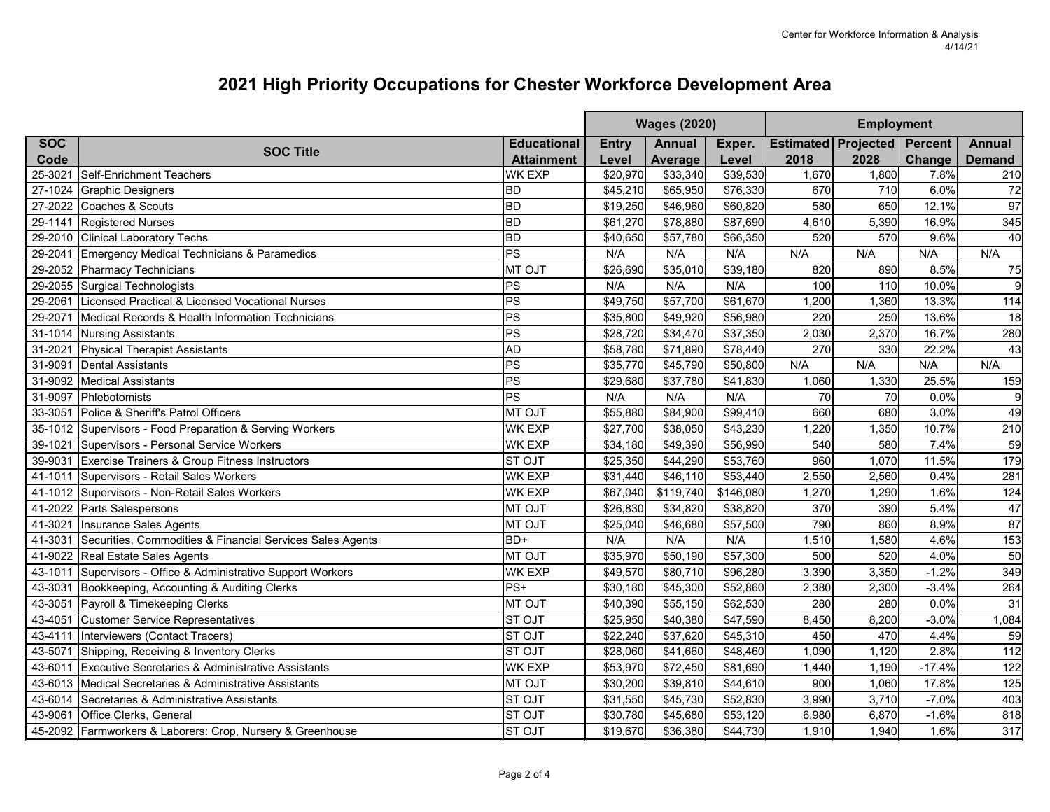|            |                                                            |                    | <b>Wages (2020)</b> |               |           |       | <b>Employment</b>                  |          |                |  |
|------------|------------------------------------------------------------|--------------------|---------------------|---------------|-----------|-------|------------------------------------|----------|----------------|--|
| <b>SOC</b> |                                                            | <b>Educational</b> | <b>Entry</b>        | <b>Annual</b> | Exper.    |       | <b>Estimated Projected Percent</b> |          | <b>Annual</b>  |  |
| Code       | <b>SOC Title</b>                                           | <b>Attainment</b>  | Level               | Average       | Level     | 2018  | 2028                               | Change   | <b>Demand</b>  |  |
| 25-3021    | Self-Enrichment Teachers                                   | <b>WK EXP</b>      | \$20,970            | \$33,340      | \$39,530  | 1,670 | 1,800                              | 7.8%     | 210            |  |
| 27-1024    | <b>Graphic Designers</b>                                   | <b>BD</b>          | \$45,210            | \$65,950      | \$76,330  | 670   | 710                                | 6.0%     | 72             |  |
| 27-2022    | Coaches & Scouts                                           | <b>BD</b>          | \$19,250            | \$46,960      | \$60,820  | 580   | 650                                | 12.1%    | 97             |  |
| 29-1141    | <b>Registered Nurses</b>                                   | <b>BD</b>          | \$61,270            | \$78,880      | \$87,690  | 4,610 | 5,390                              | 16.9%    | 345            |  |
|            | 29-2010 Clinical Laboratory Techs                          | <b>BD</b>          | \$40,650            | \$57,780      | \$66,350  | 520   | 570                                | 9.6%     | 40             |  |
| 29-2041    | Emergency Medical Technicians & Paramedics                 | PS                 | N/A                 | N/A           | N/A       | N/A   | N/A                                | N/A      | N/A            |  |
|            | 29-2052 Pharmacy Technicians                               | MT OJT             | \$26,690            | \$35,010      | \$39,180  | 820   | 890                                | 8.5%     | 75             |  |
|            | 29-2055 Surgical Technologists                             | $ _{\mathsf{PS}}$  | N/A                 | N/A           | N/A       | 100   | 110                                | 10.0%    | $\overline{9}$ |  |
| 29-2061    | Licensed Practical & Licensed Vocational Nurses            | PS                 | \$49,750            | \$57,700      | \$61,670  | 1,200 | 1,360                              | 13.3%    | 114            |  |
| 29-2071    | Medical Records & Health Information Technicians           | PS                 | \$35,800            | \$49,920      | \$56,980  | 220   | 250                                | 13.6%    | 18             |  |
|            | 31-1014 Nursing Assistants                                 | PS                 | \$28,720            | \$34,470      | \$37,350  | 2,030 | 2,370                              | 16.7%    | 280            |  |
| 31-2021    | <b>Physical Therapist Assistants</b>                       | <b>AD</b>          | \$58,780            | \$71,890      | \$78,440  | 270   | 330                                | 22.2%    | 43             |  |
| 31-9091    | Dental Assistants                                          | PS                 | \$35,770            | \$45,790      | \$50,800  | N/A   | N/A                                | N/A      | N/A            |  |
| 31-9092    | <b>Medical Assistants</b>                                  | $ _{\mathsf{PS}}$  | \$29,680            | \$37,780      | \$41,830  | 1,060 | 1,330                              | 25.5%    | 159            |  |
| 31-9097    | Phlebotomists                                              | PS                 | N/A                 | N/A           | N/A       | 70    | 70                                 | 0.0%     | 9              |  |
| 33-3051    | Police & Sheriff's Patrol Officers                         | <b>MT OJT</b>      | \$55,880            | \$84,900      | \$99,410  | 660   | 680                                | 3.0%     | 49             |  |
|            | 35-1012 Supervisors - Food Preparation & Serving Workers   | <b>WK EXP</b>      | \$27,700            | \$38,050      | \$43,230  | 1,220 | 1,350                              | 10.7%    | 210            |  |
| 39-1021    | Supervisors - Personal Service Workers                     | <b>WK EXP</b>      | \$34,180            | \$49,390      | \$56,990  | 540   | 580                                | 7.4%     | 59             |  |
| 39-9031    | Exercise Trainers & Group Fitness Instructors              | <b>ST OJT</b>      | \$25,350            | \$44,290      | \$53,760  | 960   | 1,070                              | 11.5%    | 179            |  |
| 41-1011    | Supervisors - Retail Sales Workers                         | WK EXP             | \$31,440            | \$46,110      | \$53,440  | 2,550 | 2,560                              | 0.4%     | 281            |  |
| 41-1012    | Supervisors - Non-Retail Sales Workers                     | WK EXP             | \$67,040            | \$119,740     | \$146,080 | 1,270 | 1,290                              | 1.6%     | 124            |  |
| 41-2022    | Parts Salespersons                                         | <b>MT OJT</b>      | \$26,830            | \$34,820      | \$38,820  | 370   | 390                                | 5.4%     | 47             |  |
| 41-3021    | Insurance Sales Agents                                     | <b>MT OJT</b>      | \$25,040            | \$46,680      | \$57,500  | 790   | 860                                | 8.9%     | 87             |  |
| 41-3031    | Securities, Commodities & Financial Services Sales Agents  | BD+                | N/A                 | N/A           | N/A       | 1,510 | 1,580                              | 4.6%     | 153            |  |
|            | 41-9022 Real Estate Sales Agents                           | <b>NT OJT</b>      | \$35,970            | \$50,190      | \$57,300  | 500   | 520                                | 4.0%     | 50             |  |
| 43-1011    | Supervisors - Office & Administrative Support Workers      | <b>WK EXP</b>      | \$49,570            | \$80,710      | \$96,280  | 3,390 | 3,350                              | $-1.2%$  | 349            |  |
| 43-3031    | Bookkeeping, Accounting & Auditing Clerks                  | $PS+$              | \$30,180            | \$45,300      | \$52,860  | 2,380 | 2,300                              | $-3.4%$  | 264            |  |
| 43-3051    | Payroll & Timekeeping Clerks                               | <b>MT OJT</b>      | \$40,390            | \$55,150      | \$62,530  | 280   | 280                                | 0.0%     | 31             |  |
| 43-4051    | <b>Customer Service Representatives</b>                    | <b>ST OJT</b>      | \$25,950            | \$40,380      | \$47,590  | 8,450 | 8,200                              | $-3.0%$  | 1,084          |  |
| 43-4111    | Interviewers (Contact Tracers)                             | <b>ST OJT</b>      | \$22,240            | \$37,620      | \$45,310  | 450   | 470                                | 4.4%     | 59             |  |
| 43-5071    | Shipping, Receiving & Inventory Clerks                     | <b>STOJT</b>       | \$28,060            | \$41,660      | \$48,460  | 1,090 | 1,120                              | 2.8%     | 112            |  |
| 43-6011    | Executive Secretaries & Administrative Assistants          | <b>WK EXP</b>      | \$53,970            | \$72,450      | \$81,690  | 1,440 | 1,190                              | $-17.4%$ | 122            |  |
|            | 43-6013 Medical Secretaries & Administrative Assistants    | MT OJT             | \$30,200            | \$39,810      | \$44,610  | 900   | 1,060                              | 17.8%    | 125            |  |
| 43-6014    | Secretaries & Administrative Assistants                    | <b>ST OJT</b>      | \$31,550            | \$45,730      | \$52,830  | 3,990 | 3,710                              | $-7.0%$  | 403            |  |
| 43-9061    | Office Clerks, General                                     | <b>STOJT</b>       | \$30,780            | \$45,680      | \$53,120  | 6,980 | 6,870                              | $-1.6%$  | 818            |  |
|            | 45-2092 Farmworkers & Laborers: Crop, Nursery & Greenhouse | <b>ST OJT</b>      | \$19,670            | \$36,380      | \$44,730  | 1,910 | 1,940                              | 1.6%     | 317            |  |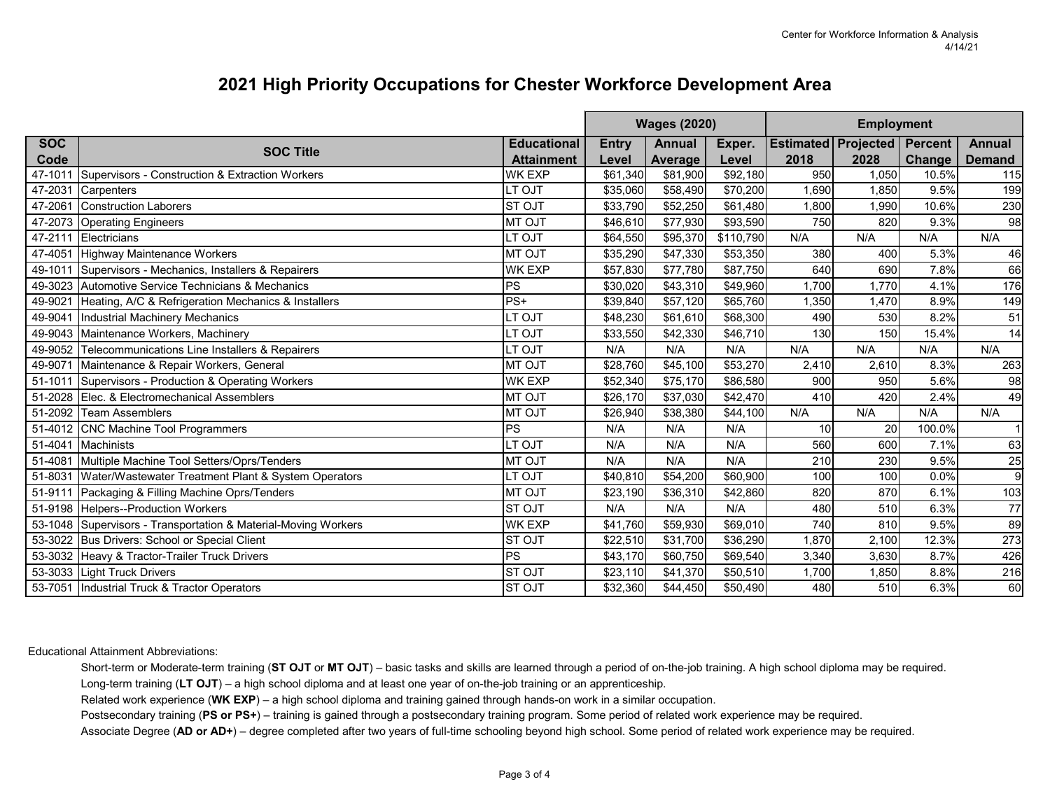|            |                                                                |                          |              | <b>Wages (2020)</b> |                      |       | <b>Employment</b>               |        |                |  |
|------------|----------------------------------------------------------------|--------------------------|--------------|---------------------|----------------------|-------|---------------------------------|--------|----------------|--|
| <b>SOC</b> |                                                                | <b>Educational</b>       | <b>Entry</b> | Annual              | Exper.               |       | Estimated   Projected   Percent |        | <b>Annual</b>  |  |
| Code       | <b>SOC Title</b>                                               | <b>Attainment</b>        | Level        | Average             | Level                | 2018  | 2028                            | Change | <b>Demand</b>  |  |
| 47-1011    | Supervisors - Construction & Extraction Workers                | WK EXP                   | \$61,340     | \$81,900            | \$92,180             | 950   | 1,050                           | 10.5%  | 115            |  |
| 47-2031    | <b>Carpenters</b>                                              | LT OJT                   | \$35,060     | \$58,490            | \$70,200             | 1,690 | 1,850                           | 9.5%   | 199            |  |
| 47-2061    | Construction Laborers                                          | <b>STOJT</b>             | \$33,790     | \$52,250            | \$61,480             | 1,800 | 1,990                           | 10.6%  | 230            |  |
| 47-2073    | <b>Operating Engineers</b>                                     | <b>MT OJT</b>            | \$46,610     | \$77,930            | \$93,590             | 750   | 820                             | 9.3%   | 98             |  |
| 47-2111    | Electricians                                                   | LT OJT                   | \$64,550     | \$95,370            | \$110,790            | N/A   | N/A                             | N/A    | N/A            |  |
| 47-4051    | Highway Maintenance Workers                                    | <b>MT OJT</b>            | \$35,290     | \$47,330            | \$53,350             | 380   | 400                             | 5.3%   | 46             |  |
| 49-1011    | Supervisors - Mechanics, Installers & Repairers                | WK EXP                   | \$57,830     | \$77,780            | \$87,750             | 640   | 690                             | 7.8%   | 66             |  |
|            | 49-3023 Automotive Service Technicians & Mechanics             | PS                       | \$30,020     | \$43,310            | \$49,960             | 1,700 | 1,770                           | 4.1%   | 176            |  |
| 49-9021    | Heating, A/C & Refrigeration Mechanics & Installers            | $PS+$                    | \$39,840     | \$57,120            | \$65,760             | 1,350 | 1,470                           | 8.9%   | 149            |  |
| 49-9041    | Industrial Machinery Mechanics                                 | LT OJT                   | \$48,230     | \$61,610            | \$68,300             | 490   | 530                             | 8.2%   | 51             |  |
|            | 49-9043 Maintenance Workers, Machinery                         | LT OJT                   | \$33,550     | \$42,330            | \$46,710             | 130   | 150                             | 15.4%  | 14             |  |
| 49-9052    | Telecommunications Line Installers & Repairers                 | LT OJT                   | N/A          | N/A                 | N/A                  | N/A   | N/A                             | N/A    | N/A            |  |
| 49-9071    | Maintenance & Repair Workers, General                          | <b>MT OJT</b>            | \$28,760     | \$45,100            | \$53,270             | 2,410 | 2,610                           | 8.3%   | 263            |  |
| 51-1011    | Supervisors - Production & Operating Workers                   | <b>WK EXP</b>            | \$52,340     | \$75,170            | \$86,580             | 900   | 950                             | 5.6%   | 98             |  |
| 51-2028    | Elec. & Electromechanical Assemblers                           | <b>MT OJT</b>            | \$26,170     | \$37,030            | \$42,470             | 410   | 420                             | 2.4%   | 49             |  |
| 51-2092    | Team Assemblers                                                | <b>MT OJT</b>            | \$26,940     | \$38,380            | \$44,100             | N/A   | N/A                             | N/A    | N/A            |  |
| 51-4012    | CNC Machine Tool Programmers                                   | PS                       | N/A          | N/A                 | N/A                  | 10    | 20                              | 100.0% | $\overline{1}$ |  |
| 51-4041    | Machinists                                                     | LT OJT                   | N/A          | N/A                 | N/A                  | 560   | 600                             | 7.1%   | 63             |  |
| 51-4081    | Multiple Machine Tool Setters/Oprs/Tenders                     | <b>MT OJT</b>            | N/A          | N/A                 | N/A                  | 210   | 230                             | 9.5%   | 25             |  |
| 51-8031    | Water/Wastewater Treatment Plant & System Operators            | LT OJT                   | \$40,810     | \$54,200            | \$60,900             | 100   | 100                             | 0.0%   | 9              |  |
| 51-9111    | Packaging & Filling Machine Oprs/Tenders                       | <b>MT OJT</b>            | \$23,190     | \$36,310            | \$42,860             | 820   | 870                             | 6.1%   | 103            |  |
|            | 51-9198 Helpers--Production Workers                            | <b>STOJT</b>             | N/A          | N/A                 | N/A                  | 480   | 510                             | 6.3%   | 77             |  |
|            | 53-1048 Supervisors - Transportation & Material-Moving Workers | WK EXP                   | \$41,760     | \$59,930            | \$69,010             | 740   | 810                             | 9.5%   | 89             |  |
| 53-3022    | Bus Drivers: School or Special Client                          | <b>STOJT</b>             | \$22,510     | \$31,700            | \$36,290             | 1,870 | 2,100                           | 12.3%  | 273            |  |
| 53-3032    | Heavy & Tractor-Trailer Truck Drivers                          | $\overline{\mathsf{PS}}$ | \$43,170     | \$60,750            | \$69,540             | 3,340 | 3,630                           | 8.7%   | 426            |  |
|            | 53-3033 Light Truck Drivers                                    | <b>STOJT</b>             | \$23,110     | \$41,370            | $\overline{$}50,510$ | 1,700 | 1,850                           | 8.8%   | 216            |  |
|            | 53-7051 Industrial Truck & Tractor Operators                   | <b>STOJT</b>             | \$32,360     | \$44,450            | \$50,490             | 480   | 510                             | 6.3%   | 60             |  |

Educational Attainment Abbreviations:

Short-term or Moderate-term training (**ST OJT** or **MT OJT**) – basic tasks and skills are learned through a period of on-the-job training. A high school diploma may be required. Long-term training (**LT OJT**) – a high school diploma and at least one year of on-the-job training or an apprenticeship.

Related work experience (**WK EXP**) – a high school diploma and training gained through hands-on work in a similar occupation.

Postsecondary training (**PS or PS+**) – training is gained through a postsecondary training program. Some period of related work experience may be required.

Associate Degree (AD or AD+) – degree completed after two years of full-time schooling beyond high school. Some period of related work experience may be required.